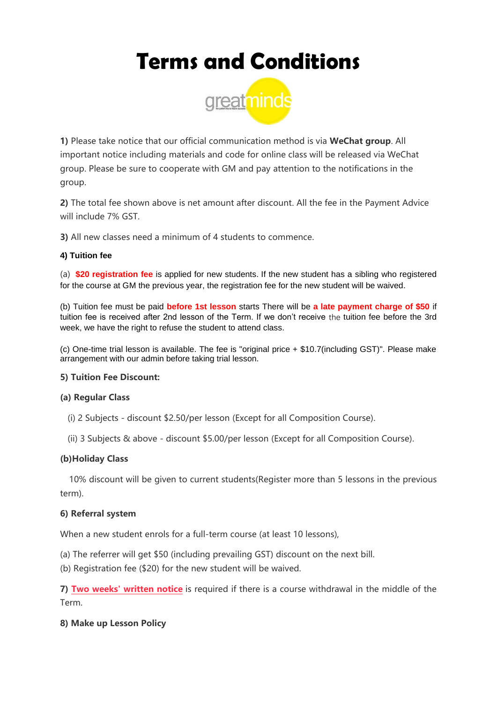# **Terms and Conditions**



**1)** Please take notice that our official communication method is via **WeChat group**. All important notice including materials and code for online class will be released via WeChat group. Please be sure to cooperate with GM and pay attention to the notifications in the group.

**2)** The total fee shown above is net amount after discount. All the fee in the Payment Advice will include 7% GST

**3)** All new classes need a minimum of 4 students to commence.

## **4) Tuition fee**

(a) **\$20 registration fee** is applied for new students. If the new student has a sibling who registered for the course at GM the previous year, the registration fee for the new student will be waived.

(b) Tuition fee must be paid **before 1st lesson** starts There will be **a late payment charge of \$50** if tuition fee is received after 2nd lesson of the Term. If we don't receive the tuition fee before the 3rd week, we have the right to refuse the student to attend class.

(c) One-time trial lesson is available. The fee is "original price + \$10.7(including GST)". Please make arrangement with our admin before taking trial lesson.

#### **5) Tuition Fee Discount:**

#### **(a) Regular Class**

- (i) 2 Subjects discount \$2.50/per lesson (Except for all Composition Course).
- (ii) 3 Subjects & above discount \$5.00/per lesson (Except for all Composition Course).

## **(b)Holiday Class**

10% discount will be given to current students(Register more than 5 lessons in the previous term).

#### **6) Referral system**

When a new student enrols for a full-term course (at least 10 lessons),

- (a) The referrer will get \$50 (including prevailing GST) discount on the next bill.
- (b) Registration fee (\$20) for the new student will be waived.

**7) Two weeks' written notice** is required if there is a course withdrawal in the middle of the Term.

## **8) Make up Lesson Policy**